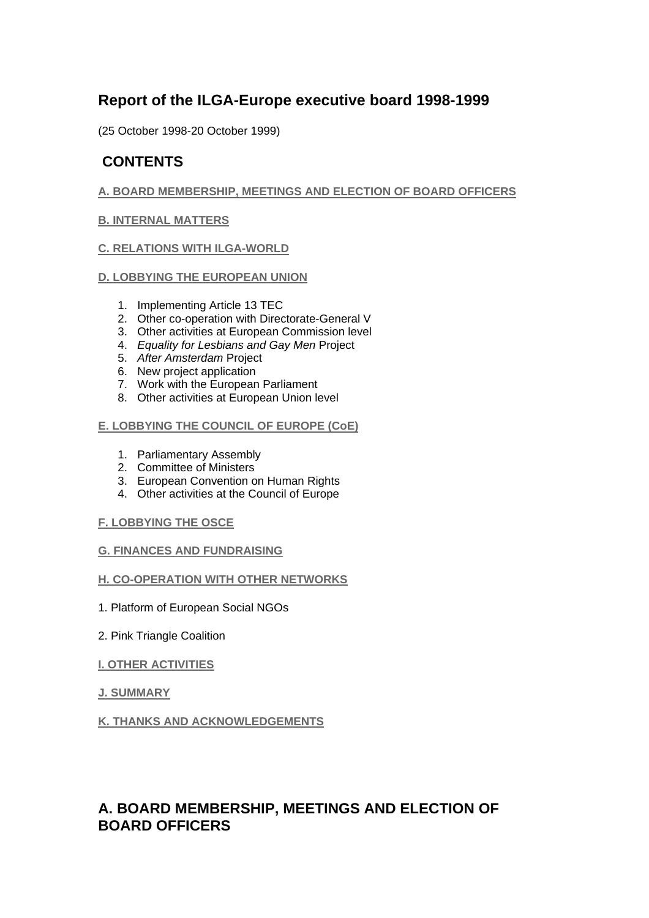# **Report of the ILGA-Europe executive board 1998-1999**

(25 October 1998-20 October 1999)

# **CONTENTS**

## **A. BOARD MEMBERSHIP, MEETINGS AND ELECTION OF BOARD OFFICERS**

## **B. INTERNAL MATTERS**

## **C. RELATIONS WITH ILGA-WORLD**

## **D. LOBBYING THE EUROPEAN UNION**

- 1. Implementing Article 13 TEC
- 2. Other co-operation with Directorate-General V
- 3. Other activities at European Commission level
- 4. *Equality for Lesbians and Gay Men* Project
- 5. *After Amsterdam* Project
- 6. New project application
- 7. Work with the European Parliament
- 8. Other activities at European Union level

## **E. LOBBYING THE COUNCIL OF EUROPE (CoE)**

- 1. Parliamentary Assembly
- 2. Committee of Ministers
- 3. European Convention on Human Rights
- 4. Other activities at the Council of Europe

## **F. LOBBYING THE OSCE**

## **G. FINANCES AND FUNDRAISING**

## **H. CO-OPERATION WITH OTHER NETWORKS**

- 1. Platform of European Social NGOs
- 2. Pink Triangle Coalition
- **I. OTHER ACTIVITIES**
- **J. SUMMARY**

## **K. THANKS AND ACKNOWLEDGEMENTS**

# **A. BOARD MEMBERSHIP, MEETINGS AND ELECTION OF BOARD OFFICERS**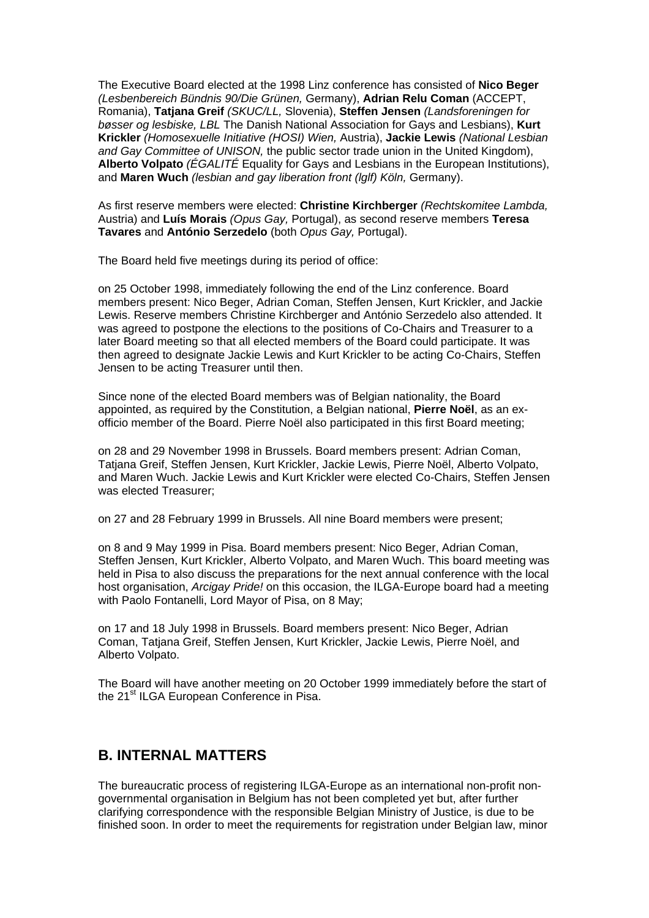The Executive Board elected at the 1998 Linz conference has consisted of **Nico Beger** *(Lesbenbereich Bündnis 90/Die Grünen,* Germany), **Adrian Relu Coman** (ACCEPT, Romania), **Tatjana Greif** *(SKUC/LL,* Slovenia), **Steffen Jensen** *(Landsforeningen for bøsser og lesbiske, LBL* The Danish National Association for Gays and Lesbians), **Kurt Krickler** *(Homosexuelle Initiative (HOSI) Wien,* Austria), **Jackie Lewis** *(National Lesbian and Gay Committee of UNISON,* the public sector trade union in the United Kingdom), **Alberto Volpato** *(ÉGALITÉ* Equality for Gays and Lesbians in the European Institutions), and **Maren Wuch** *(lesbian and gay liberation front (lglf) Köln,* Germany).

As first reserve members were elected: **Christine Kirchberger** *(Rechtskomitee Lambda,* Austria) and **Luís Morais** *(Opus Gay,* Portugal), as second reserve members **Teresa Tavares** and **António Serzedelo** (both *Opus Gay,* Portugal).

The Board held five meetings during its period of office:

on 25 October 1998, immediately following the end of the Linz conference. Board members present: Nico Beger, Adrian Coman, Steffen Jensen, Kurt Krickler, and Jackie Lewis. Reserve members Christine Kirchberger and António Serzedelo also attended. It was agreed to postpone the elections to the positions of Co-Chairs and Treasurer to a later Board meeting so that all elected members of the Board could participate. It was then agreed to designate Jackie Lewis and Kurt Krickler to be acting Co-Chairs, Steffen Jensen to be acting Treasurer until then.

Since none of the elected Board members was of Belgian nationality, the Board appointed, as required by the Constitution, a Belgian national, **Pierre Noël**, as an exofficio member of the Board. Pierre Noël also participated in this first Board meeting;

on 28 and 29 November 1998 in Brussels. Board members present: Adrian Coman, Tatjana Greif, Steffen Jensen, Kurt Krickler, Jackie Lewis, Pierre Noël, Alberto Volpato, and Maren Wuch. Jackie Lewis and Kurt Krickler were elected Co-Chairs, Steffen Jensen was elected Treasurer;

on 27 and 28 February 1999 in Brussels. All nine Board members were present;

on 8 and 9 May 1999 in Pisa. Board members present: Nico Beger, Adrian Coman, Steffen Jensen, Kurt Krickler, Alberto Volpato, and Maren Wuch. This board meeting was held in Pisa to also discuss the preparations for the next annual conference with the local host organisation, *Arcigay Pride!* on this occasion, the ILGA-Europe board had a meeting with Paolo Fontanelli, Lord Mayor of Pisa, on 8 May;

on 17 and 18 July 1998 in Brussels. Board members present: Nico Beger, Adrian Coman, Tatjana Greif, Steffen Jensen, Kurt Krickler, Jackie Lewis, Pierre Noël, and Alberto Volpato.

The Board will have another meeting on 20 October 1999 immediately before the start of the 21<sup>st</sup> ILGA European Conference in Pisa.

## **B. INTERNAL MATTERS**

The bureaucratic process of registering ILGA-Europe as an international non-profit nongovernmental organisation in Belgium has not been completed yet but, after further clarifying correspondence with the responsible Belgian Ministry of Justice, is due to be finished soon. In order to meet the requirements for registration under Belgian law, minor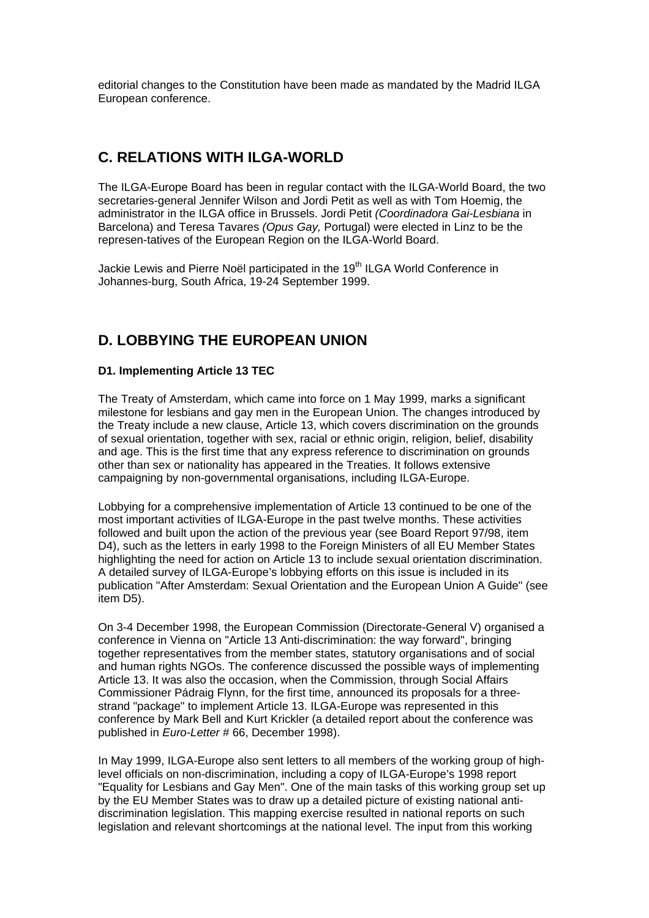editorial changes to the Constitution have been made as mandated by the Madrid ILGA European conference.

## **C. RELATIONS WITH ILGA-WORLD**

The ILGA-Europe Board has been in regular contact with the ILGA-World Board, the two secretaries-general Jennifer Wilson and Jordi Petit as well as with Tom Hoemig, the administrator in the ILGA office in Brussels. Jordi Petit *(Coordinadora Gai-Lesbiana* in Barcelona) and Teresa Tavares *(Opus Gay,* Portugal) were elected in Linz to be the represen-tatives of the European Region on the ILGA-World Board.

Jackie Lewis and Pierre Noël participated in the 19<sup>th</sup> ILGA World Conference in Johannes-burg, South Africa, 19-24 September 1999.

# **D. LOBBYING THE EUROPEAN UNION**

## **D1. Implementing Article 13 TEC**

The Treaty of Amsterdam, which came into force on 1 May 1999, marks a significant milestone for lesbians and gay men in the European Union. The changes introduced by the Treaty include a new clause, Article 13, which covers discrimination on the grounds of sexual orientation, together with sex, racial or ethnic origin, religion, belief, disability and age. This is the first time that any express reference to discrimination on grounds other than sex or nationality has appeared in the Treaties. It follows extensive campaigning by non-governmental organisations, including ILGA-Europe.

Lobbying for a comprehensive implementation of Article 13 continued to be one of the most important activities of ILGA-Europe in the past twelve months. These activities followed and built upon the action of the previous year (see Board Report 97/98, item D4), such as the letters in early 1998 to the Foreign Ministers of all EU Member States highlighting the need for action on Article 13 to include sexual orientation discrimination. A detailed survey of ILGA-Europe's lobbying efforts on this issue is included in its publication "After Amsterdam: Sexual Orientation and the European Union A Guide" (see item D5).

On 3-4 December 1998, the European Commission (Directorate-General V) organised a conference in Vienna on "Article 13 Anti-discrimination: the way forward", bringing together representatives from the member states, statutory organisations and of social and human rights NGOs. The conference discussed the possible ways of implementing Article 13. It was also the occasion, when the Commission, through Social Affairs Commissioner Pádraig Flynn, for the first time, announced its proposals for a threestrand "package" to implement Article 13. ILGA-Europe was represented in this conference by Mark Bell and Kurt Krickler (a detailed report about the conference was published in *Euro-Letter* # 66, December 1998).

In May 1999, ILGA-Europe also sent letters to all members of the working group of highlevel officials on non-discrimination, including a copy of ILGA-Europe's 1998 report "Equality for Lesbians and Gay Men". One of the main tasks of this working group set up by the EU Member States was to draw up a detailed picture of existing national antidiscrimination legislation. This mapping exercise resulted in national reports on such legislation and relevant shortcomings at the national level. The input from this working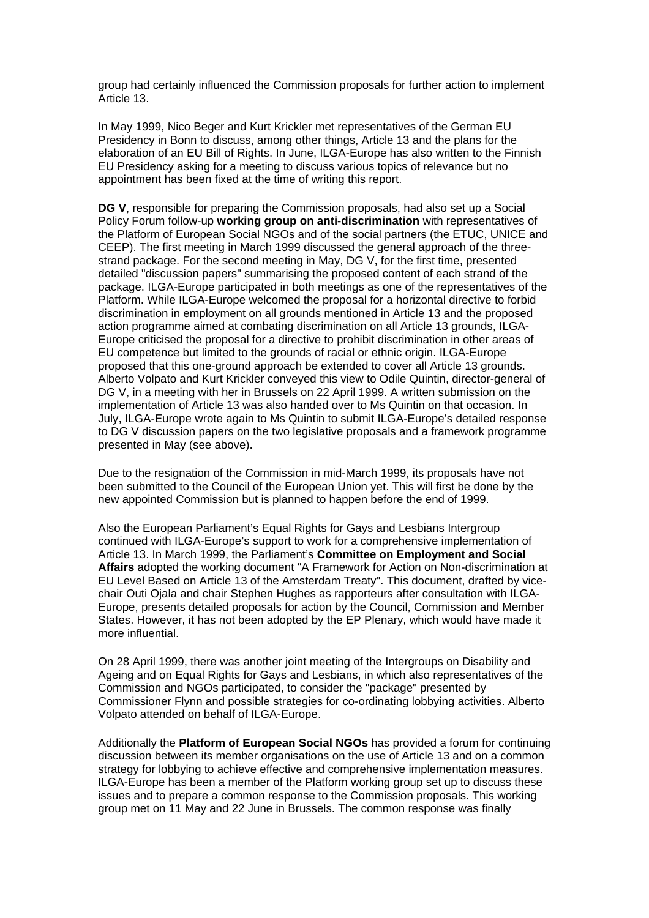group had certainly influenced the Commission proposals for further action to implement Article 13.

In May 1999, Nico Beger and Kurt Krickler met representatives of the German EU Presidency in Bonn to discuss, among other things, Article 13 and the plans for the elaboration of an EU Bill of Rights. In June, ILGA-Europe has also written to the Finnish EU Presidency asking for a meeting to discuss various topics of relevance but no appointment has been fixed at the time of writing this report.

**DG V**, responsible for preparing the Commission proposals, had also set up a Social Policy Forum follow-up **working group on anti-discrimination** with representatives of the Platform of European Social NGOs and of the social partners (the ETUC, UNICE and CEEP). The first meeting in March 1999 discussed the general approach of the threestrand package. For the second meeting in May, DG V, for the first time, presented detailed "discussion papers" summarising the proposed content of each strand of the package. ILGA-Europe participated in both meetings as one of the representatives of the Platform. While ILGA-Europe welcomed the proposal for a horizontal directive to forbid discrimination in employment on all grounds mentioned in Article 13 and the proposed action programme aimed at combating discrimination on all Article 13 grounds, ILGA-Europe criticised the proposal for a directive to prohibit discrimination in other areas of EU competence but limited to the grounds of racial or ethnic origin. ILGA-Europe proposed that this one-ground approach be extended to cover all Article 13 grounds. Alberto Volpato and Kurt Krickler conveyed this view to Odile Quintin, director-general of DG V, in a meeting with her in Brussels on 22 April 1999. A written submission on the implementation of Article 13 was also handed over to Ms Quintin on that occasion. In July, ILGA-Europe wrote again to Ms Quintin to submit ILGA-Europe's detailed response to DG V discussion papers on the two legislative proposals and a framework programme presented in May (see above).

Due to the resignation of the Commission in mid-March 1999, its proposals have not been submitted to the Council of the European Union yet. This will first be done by the new appointed Commission but is planned to happen before the end of 1999.

Also the European Parliament's Equal Rights for Gays and Lesbians Intergroup continued with ILGA-Europe's support to work for a comprehensive implementation of Article 13. In March 1999, the Parliament's **Committee on Employment and Social Affairs** adopted the working document "A Framework for Action on Non-discrimination at EU Level Based on Article 13 of the Amsterdam Treaty". This document, drafted by vicechair Outi Ojala and chair Stephen Hughes as rapporteurs after consultation with ILGA-Europe, presents detailed proposals for action by the Council, Commission and Member States. However, it has not been adopted by the EP Plenary, which would have made it more influential.

On 28 April 1999, there was another joint meeting of the Intergroups on Disability and Ageing and on Equal Rights for Gays and Lesbians, in which also representatives of the Commission and NGOs participated, to consider the "package" presented by Commissioner Flynn and possible strategies for co-ordinating lobbying activities. Alberto Volpato attended on behalf of ILGA-Europe.

Additionally the **Platform of European Social NGOs** has provided a forum for continuing discussion between its member organisations on the use of Article 13 and on a common strategy for lobbying to achieve effective and comprehensive implementation measures. ILGA-Europe has been a member of the Platform working group set up to discuss these issues and to prepare a common response to the Commission proposals. This working group met on 11 May and 22 June in Brussels. The common response was finally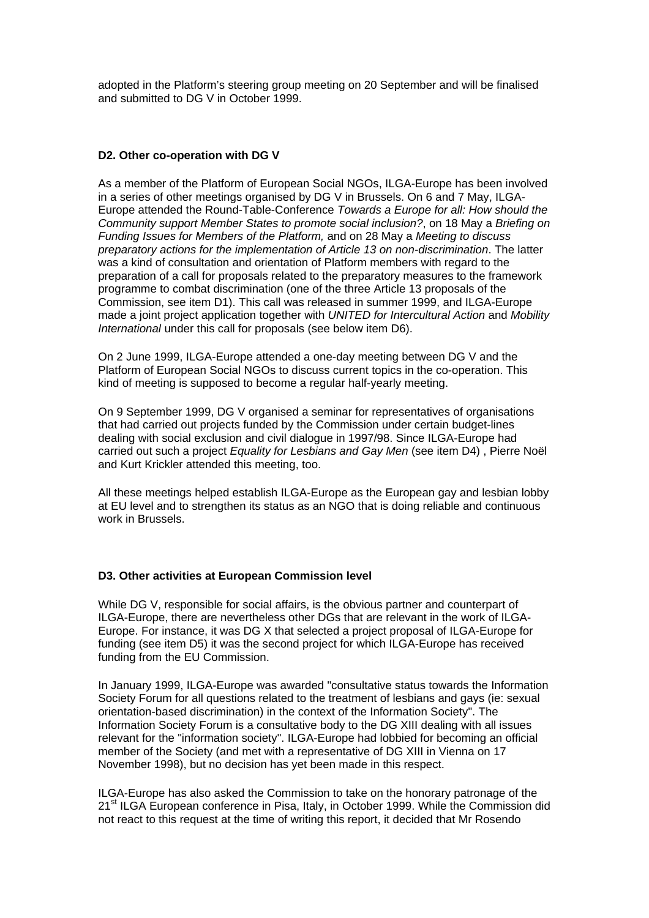adopted in the Platform's steering group meeting on 20 September and will be finalised and submitted to DG V in October 1999.

## **D2. Other co-operation with DG V**

As a member of the Platform of European Social NGOs, ILGA-Europe has been involved in a series of other meetings organised by DG V in Brussels. On 6 and 7 May, ILGA-Europe attended the Round-Table-Conference *Towards a Europe for all: How should the Community support Member States to promote social inclusion?*, on 18 May a *Briefing on Funding Issues for Members of the Platform,* and on 28 May a *Meeting to discuss preparatory actions for the implementation of Article 13 on non-discrimination*. The latter was a kind of consultation and orientation of Platform members with regard to the preparation of a call for proposals related to the preparatory measures to the framework programme to combat discrimination (one of the three Article 13 proposals of the Commission, see item D1). This call was released in summer 1999, and ILGA-Europe made a joint project application together with *UNITED for Intercultural Action* and *Mobility International* under this call for proposals (see below item D6).

On 2 June 1999, ILGA-Europe attended a one-day meeting between DG V and the Platform of European Social NGOs to discuss current topics in the co-operation. This kind of meeting is supposed to become a regular half-yearly meeting.

On 9 September 1999, DG V organised a seminar for representatives of organisations that had carried out projects funded by the Commission under certain budget-lines dealing with social exclusion and civil dialogue in 1997/98. Since ILGA-Europe had carried out such a project *Equality for Lesbians and Gay Men* (see item D4) , Pierre Noël and Kurt Krickler attended this meeting, too.

All these meetings helped establish ILGA-Europe as the European gay and lesbian lobby at EU level and to strengthen its status as an NGO that is doing reliable and continuous work in Brussels.

## **D3. Other activities at European Commission level**

While DG V, responsible for social affairs, is the obvious partner and counterpart of ILGA-Europe, there are nevertheless other DGs that are relevant in the work of ILGA-Europe. For instance, it was DG X that selected a project proposal of ILGA-Europe for funding (see item D5) it was the second project for which ILGA-Europe has received funding from the EU Commission.

In January 1999, ILGA-Europe was awarded "consultative status towards the Information Society Forum for all questions related to the treatment of lesbians and gays (ie: sexual orientation-based discrimination) in the context of the Information Society". The Information Society Forum is a consultative body to the DG XIII dealing with all issues relevant for the "information society". ILGA-Europe had lobbied for becoming an official member of the Society (and met with a representative of DG XIII in Vienna on 17 November 1998), but no decision has yet been made in this respect.

ILGA-Europe has also asked the Commission to take on the honorary patronage of the 21<sup>st</sup> ILGA European conference in Pisa, Italy, in October 1999. While the Commission did not react to this request at the time of writing this report, it decided that Mr Rosendo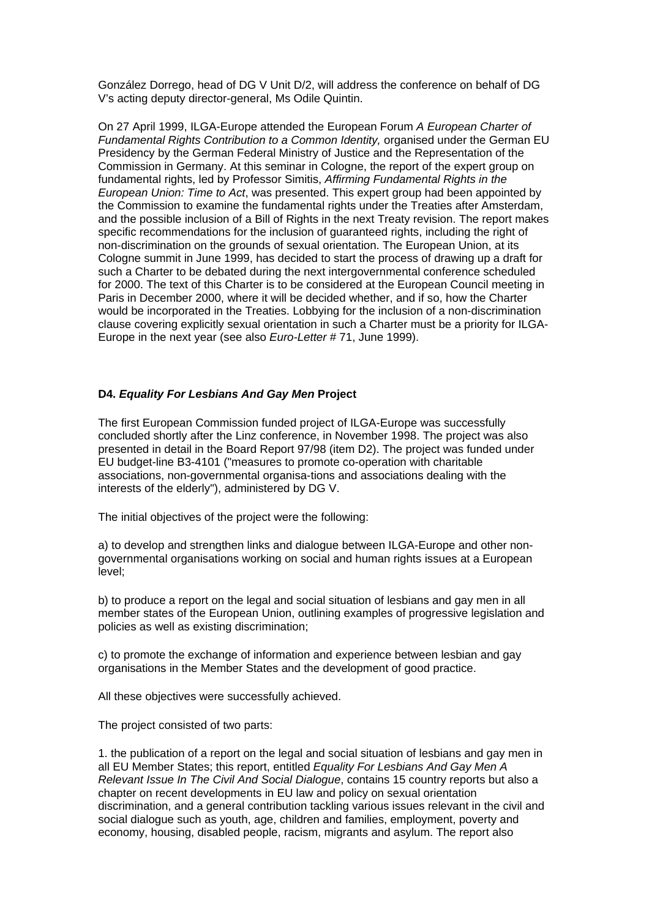González Dorrego, head of DG V Unit D/2, will address the conference on behalf of DG V's acting deputy director-general, Ms Odile Quintin.

On 27 April 1999, ILGA-Europe attended the European Forum *A European Charter of Fundamental Rights Contribution to a Common Identity,* organised under the German EU Presidency by the German Federal Ministry of Justice and the Representation of the Commission in Germany. At this seminar in Cologne, the report of the expert group on fundamental rights, led by Professor Simitis, *Affirming Fundamental Rights in the European Union: Time to Act*, was presented. This expert group had been appointed by the Commission to examine the fundamental rights under the Treaties after Amsterdam, and the possible inclusion of a Bill of Rights in the next Treaty revision. The report makes specific recommendations for the inclusion of guaranteed rights, including the right of non-discrimination on the grounds of sexual orientation. The European Union, at its Cologne summit in June 1999, has decided to start the process of drawing up a draft for such a Charter to be debated during the next intergovernmental conference scheduled for 2000. The text of this Charter is to be considered at the European Council meeting in Paris in December 2000, where it will be decided whether, and if so, how the Charter would be incorporated in the Treaties. Lobbying for the inclusion of a non-discrimination clause covering explicitly sexual orientation in such a Charter must be a priority for ILGA-Europe in the next year (see also *Euro-Letter* # 71, June 1999).

## **D4.** *Equality For Lesbians And Gay Men* **Project**

The first European Commission funded project of ILGA-Europe was successfully concluded shortly after the Linz conference, in November 1998. The project was also presented in detail in the Board Report 97/98 (item D2). The project was funded under EU budget-line B3-4101 ("measures to promote co-operation with charitable associations, non-governmental organisa-tions and associations dealing with the interests of the elderly"), administered by DG V.

The initial objectives of the project were the following:

a) to develop and strengthen links and dialogue between ILGA-Europe and other nongovernmental organisations working on social and human rights issues at a European level;

b) to produce a report on the legal and social situation of lesbians and gay men in all member states of the European Union, outlining examples of progressive legislation and policies as well as existing discrimination;

c) to promote the exchange of information and experience between lesbian and gay organisations in the Member States and the development of good practice.

All these objectives were successfully achieved.

The project consisted of two parts:

1. the publication of a report on the legal and social situation of lesbians and gay men in all EU Member States; this report, entitled *Equality For Lesbians And Gay Men A Relevant Issue In The Civil And Social Dialogue*, contains 15 country reports but also a chapter on recent developments in EU law and policy on sexual orientation discrimination, and a general contribution tackling various issues relevant in the civil and social dialogue such as youth, age, children and families, employment, poverty and economy, housing, disabled people, racism, migrants and asylum. The report also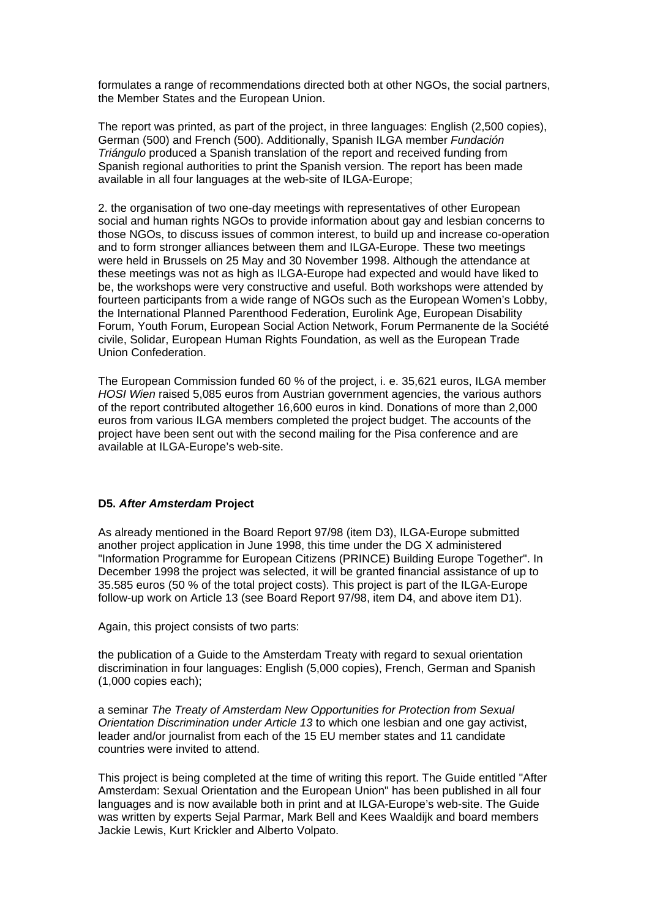formulates a range of recommendations directed both at other NGOs, the social partners, the Member States and the European Union.

The report was printed, as part of the project, in three languages: English (2,500 copies), German (500) and French (500). Additionally, Spanish ILGA member *Fundación Triángulo* produced a Spanish translation of the report and received funding from Spanish regional authorities to print the Spanish version. The report has been made available in all four languages at the web-site of ILGA-Europe;

2. the organisation of two one-day meetings with representatives of other European social and human rights NGOs to provide information about gay and lesbian concerns to those NGOs, to discuss issues of common interest, to build up and increase co-operation and to form stronger alliances between them and ILGA-Europe. These two meetings were held in Brussels on 25 May and 30 November 1998. Although the attendance at these meetings was not as high as ILGA-Europe had expected and would have liked to be, the workshops were very constructive and useful. Both workshops were attended by fourteen participants from a wide range of NGOs such as the European Women's Lobby, the International Planned Parenthood Federation, Eurolink Age, European Disability Forum, Youth Forum, European Social Action Network, Forum Permanente de la Société civile, Solidar, European Human Rights Foundation, as well as the European Trade Union Confederation.

The European Commission funded 60 % of the project, i. e. 35,621 euros, ILGA member *HOSI Wien* raised 5,085 euros from Austrian government agencies, the various authors of the report contributed altogether 16,600 euros in kind. Donations of more than 2,000 euros from various ILGA members completed the project budget. The accounts of the project have been sent out with the second mailing for the Pisa conference and are available at ILGA-Europe's web-site.

#### **D5.** *After Amsterdam* **Project**

As already mentioned in the Board Report 97/98 (item D3), ILGA-Europe submitted another project application in June 1998, this time under the DG X administered "Information Programme for European Citizens (PRINCE) Building Europe Together". In December 1998 the project was selected, it will be granted financial assistance of up to 35.585 euros (50 % of the total project costs). This project is part of the ILGA-Europe follow-up work on Article 13 (see Board Report 97/98, item D4, and above item D1).

Again, this project consists of two parts:

the publication of a Guide to the Amsterdam Treaty with regard to sexual orientation discrimination in four languages: English (5,000 copies), French, German and Spanish (1,000 copies each);

a seminar *The Treaty of Amsterdam New Opportunities for Protection from Sexual Orientation Discrimination under Article 13* to which one lesbian and one gay activist, leader and/or journalist from each of the 15 EU member states and 11 candidate countries were invited to attend.

This project is being completed at the time of writing this report. The Guide entitled "After Amsterdam: Sexual Orientation and the European Union" has been published in all four languages and is now available both in print and at ILGA-Europe's web-site. The Guide was written by experts Sejal Parmar, Mark Bell and Kees Waaldijk and board members Jackie Lewis, Kurt Krickler and Alberto Volpato.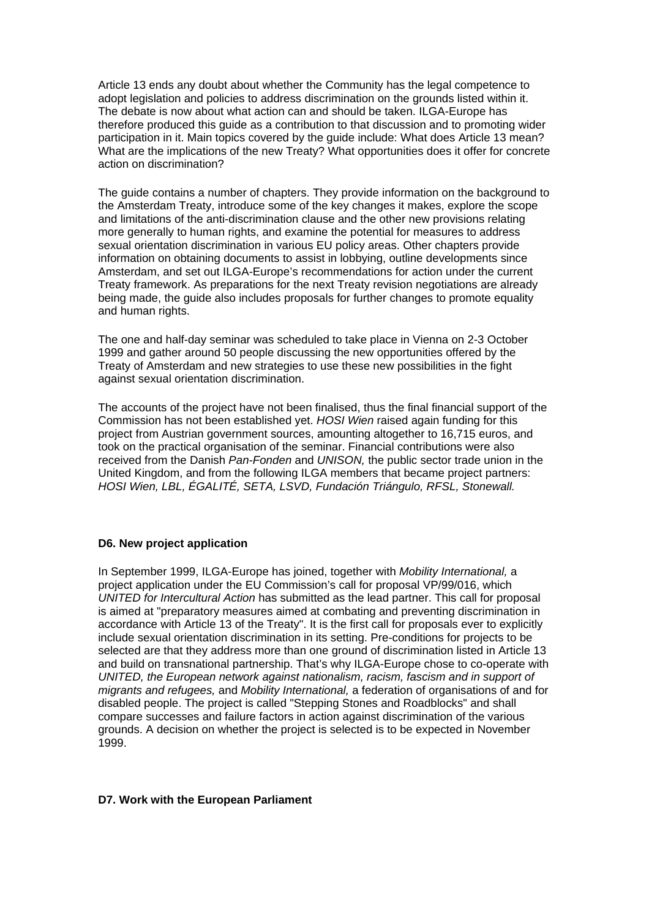Article 13 ends any doubt about whether the Community has the legal competence to adopt legislation and policies to address discrimination on the grounds listed within it. The debate is now about what action can and should be taken. ILGA-Europe has therefore produced this guide as a contribution to that discussion and to promoting wider participation in it. Main topics covered by the guide include: What does Article 13 mean? What are the implications of the new Treaty? What opportunities does it offer for concrete action on discrimination?

The guide contains a number of chapters. They provide information on the background to the Amsterdam Treaty, introduce some of the key changes it makes, explore the scope and limitations of the anti-discrimination clause and the other new provisions relating more generally to human rights, and examine the potential for measures to address sexual orientation discrimination in various EU policy areas. Other chapters provide information on obtaining documents to assist in lobbying, outline developments since Amsterdam, and set out ILGA-Europe's recommendations for action under the current Treaty framework. As preparations for the next Treaty revision negotiations are already being made, the guide also includes proposals for further changes to promote equality and human rights.

The one and half-day seminar was scheduled to take place in Vienna on 2-3 October 1999 and gather around 50 people discussing the new opportunities offered by the Treaty of Amsterdam and new strategies to use these new possibilities in the fight against sexual orientation discrimination.

The accounts of the project have not been finalised, thus the final financial support of the Commission has not been established yet. *HOSI Wien* raised again funding for this project from Austrian government sources, amounting altogether to 16,715 euros, and took on the practical organisation of the seminar. Financial contributions were also received from the Danish *Pan-Fonden* and *UNISON,* the public sector trade union in the United Kingdom, and from the following ILGA members that became project partners: *HOSI Wien, LBL, ÉGALITÉ, SETA, LSVD, Fundación Triángulo, RFSL, Stonewall.*

## **D6. New project application**

In September 1999, ILGA-Europe has joined, together with *Mobility International,* a project application under the EU Commission's call for proposal VP/99/016, which *UNITED for Intercultural Action* has submitted as the lead partner. This call for proposal is aimed at "preparatory measures aimed at combating and preventing discrimination in accordance with Article 13 of the Treaty". It is the first call for proposals ever to explicitly include sexual orientation discrimination in its setting. Pre-conditions for projects to be selected are that they address more than one ground of discrimination listed in Article 13 and build on transnational partnership. That's why ILGA-Europe chose to co-operate with *UNITED, the European network against nationalism, racism, fascism and in support of migrants and refugees,* and *Mobility International,* a federation of organisations of and for disabled people. The project is called "Stepping Stones and Roadblocks" and shall compare successes and failure factors in action against discrimination of the various grounds. A decision on whether the project is selected is to be expected in November 1999.

#### **D7. Work with the European Parliament**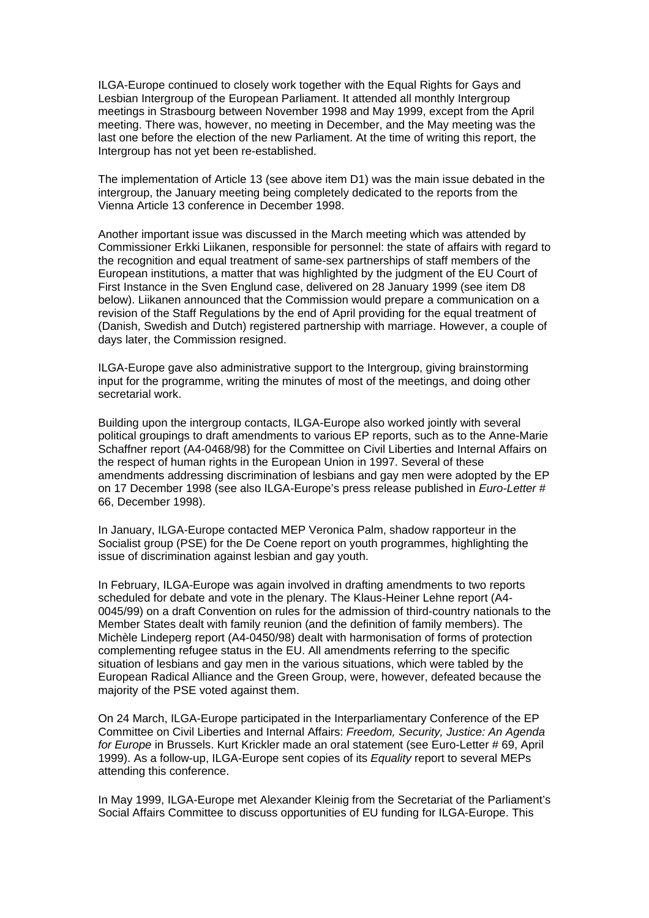ILGA-Europe continued to closely work together with the Equal Rights for Gays and Lesbian Intergroup of the European Parliament. It attended all monthly Intergroup meetings in Strasbourg between November 1998 and May 1999, except from the April meeting. There was, however, no meeting in December, and the May meeting was the last one before the election of the new Parliament. At the time of writing this report, the Intergroup has not yet been re-established.

The implementation of Article 13 (see above item D1) was the main issue debated in the intergroup, the January meeting being completely dedicated to the reports from the Vienna Article 13 conference in December 1998.

Another important issue was discussed in the March meeting which was attended by Commissioner Erkki Liikanen, responsible for personnel: the state of affairs with regard to the recognition and equal treatment of same-sex partnerships of staff members of the European institutions, a matter that was highlighted by the judgment of the EU Court of First Instance in the Sven Englund case, delivered on 28 January 1999 (see item D8 below). Liikanen announced that the Commission would prepare a communication on a revision of the Staff Regulations by the end of April providing for the equal treatment of (Danish, Swedish and Dutch) registered partnership with marriage. However, a couple of days later, the Commission resigned.

ILGA-Europe gave also administrative support to the Intergroup, giving brainstorming input for the programme, writing the minutes of most of the meetings, and doing other secretarial work.

Building upon the intergroup contacts, ILGA-Europe also worked jointly with several political groupings to draft amendments to various EP reports, such as to the Anne-Marie Schaffner report (A4-0468/98) for the Committee on Civil Liberties and Internal Affairs on the respect of human rights in the European Union in 1997. Several of these amendments addressing discrimination of lesbians and gay men were adopted by the EP on 17 December 1998 (see also ILGA-Europe's press release published in *Euro-Letter* # 66, December 1998).

In January, ILGA-Europe contacted MEP Veronica Palm, shadow rapporteur in the Socialist group (PSE) for the De Coene report on youth programmes, highlighting the issue of discrimination against lesbian and gay youth.

In February, ILGA-Europe was again involved in drafting amendments to two reports scheduled for debate and vote in the plenary. The Klaus-Heiner Lehne report (A4- 0045/99) on a draft Convention on rules for the admission of third-country nationals to the Member States dealt with family reunion (and the definition of family members). The Michèle Lindeperg report (A4-0450/98) dealt with harmonisation of forms of protection complementing refugee status in the EU. All amendments referring to the specific situation of lesbians and gay men in the various situations, which were tabled by the European Radical Alliance and the Green Group, were, however, defeated because the majority of the PSE voted against them.

On 24 March, ILGA-Europe participated in the Interparliamentary Conference of the EP Committee on Civil Liberties and Internal Affairs: *Freedom, Security, Justice: An Agenda*  for Europe in Brussels. Kurt Krickler made an oral statement (see Euro-Letter # 69, April 1999). As a follow-up, ILGA-Europe sent copies of its *Equality* report to several MEPs attending this conference.

In May 1999, ILGA-Europe met Alexander Kleinig from the Secretariat of the Parliament's Social Affairs Committee to discuss opportunities of EU funding for ILGA-Europe. This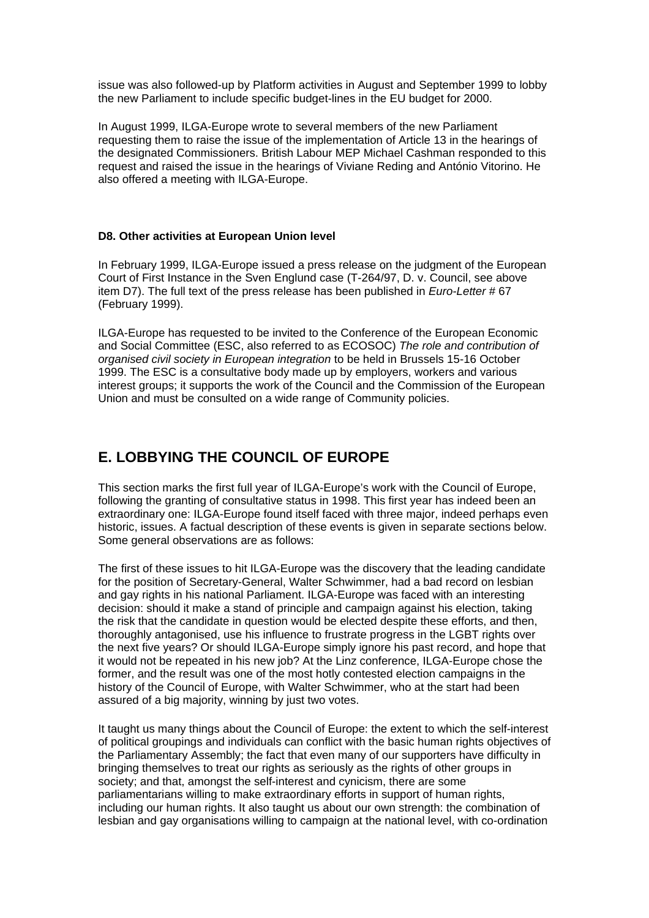issue was also followed-up by Platform activities in August and September 1999 to lobby the new Parliament to include specific budget-lines in the EU budget for 2000.

In August 1999, ILGA-Europe wrote to several members of the new Parliament requesting them to raise the issue of the implementation of Article 13 in the hearings of the designated Commissioners. British Labour MEP Michael Cashman responded to this request and raised the issue in the hearings of Viviane Reding and António Vitorino. He also offered a meeting with ILGA-Europe.

#### **D8. Other activities at European Union level**

In February 1999, ILGA-Europe issued a press release on the judgment of the European Court of First Instance in the Sven Englund case (T-264/97, D. v. Council, see above item D7). The full text of the press release has been published in *Euro-Letter* # 67 (February 1999).

ILGA-Europe has requested to be invited to the Conference of the European Economic and Social Committee (ESC, also referred to as ECOSOC) *The role and contribution of organised civil society in European integration* to be held in Brussels 15-16 October 1999. The ESC is a consultative body made up by employers, workers and various interest groups; it supports the work of the Council and the Commission of the European Union and must be consulted on a wide range of Community policies.

## **E. LOBBYING THE COUNCIL OF EUROPE**

This section marks the first full year of ILGA-Europe's work with the Council of Europe, following the granting of consultative status in 1998. This first year has indeed been an extraordinary one: ILGA-Europe found itself faced with three major, indeed perhaps even historic, issues. A factual description of these events is given in separate sections below. Some general observations are as follows:

The first of these issues to hit ILGA-Europe was the discovery that the leading candidate for the position of Secretary-General, Walter Schwimmer, had a bad record on lesbian and gay rights in his national Parliament. ILGA-Europe was faced with an interesting decision: should it make a stand of principle and campaign against his election, taking the risk that the candidate in question would be elected despite these efforts, and then, thoroughly antagonised, use his influence to frustrate progress in the LGBT rights over the next five years? Or should ILGA-Europe simply ignore his past record, and hope that it would not be repeated in his new job? At the Linz conference, ILGA-Europe chose the former, and the result was one of the most hotly contested election campaigns in the history of the Council of Europe, with Walter Schwimmer, who at the start had been assured of a big majority, winning by just two votes.

It taught us many things about the Council of Europe: the extent to which the self-interest of political groupings and individuals can conflict with the basic human rights objectives of the Parliamentary Assembly; the fact that even many of our supporters have difficulty in bringing themselves to treat our rights as seriously as the rights of other groups in society; and that, amongst the self-interest and cynicism, there are some parliamentarians willing to make extraordinary efforts in support of human rights, including our human rights. It also taught us about our own strength: the combination of lesbian and gay organisations willing to campaign at the national level, with co-ordination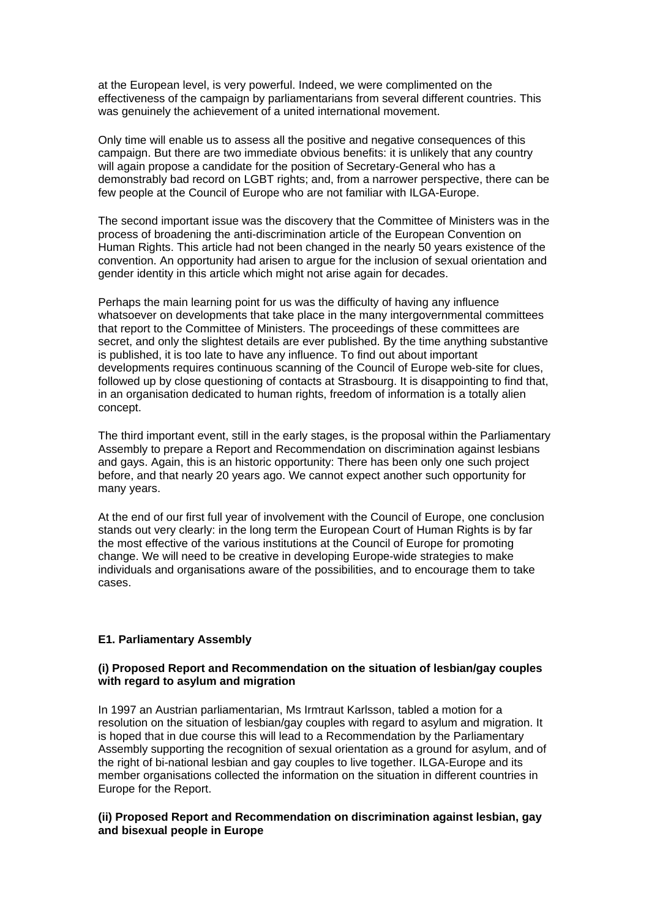at the European level, is very powerful. Indeed, we were complimented on the effectiveness of the campaign by parliamentarians from several different countries. This was genuinely the achievement of a united international movement.

Only time will enable us to assess all the positive and negative consequences of this campaign. But there are two immediate obvious benefits: it is unlikely that any country will again propose a candidate for the position of Secretary-General who has a demonstrably bad record on LGBT rights; and, from a narrower perspective, there can be few people at the Council of Europe who are not familiar with ILGA-Europe.

The second important issue was the discovery that the Committee of Ministers was in the process of broadening the anti-discrimination article of the European Convention on Human Rights. This article had not been changed in the nearly 50 years existence of the convention. An opportunity had arisen to argue for the inclusion of sexual orientation and gender identity in this article which might not arise again for decades.

Perhaps the main learning point for us was the difficulty of having any influence whatsoever on developments that take place in the many intergovernmental committees that report to the Committee of Ministers. The proceedings of these committees are secret, and only the slightest details are ever published. By the time anything substantive is published, it is too late to have any influence. To find out about important developments requires continuous scanning of the Council of Europe web-site for clues, followed up by close questioning of contacts at Strasbourg. It is disappointing to find that, in an organisation dedicated to human rights, freedom of information is a totally alien concept.

The third important event, still in the early stages, is the proposal within the Parliamentary Assembly to prepare a Report and Recommendation on discrimination against lesbians and gays. Again, this is an historic opportunity: There has been only one such project before, and that nearly 20 years ago. We cannot expect another such opportunity for many years.

At the end of our first full year of involvement with the Council of Europe, one conclusion stands out very clearly: in the long term the European Court of Human Rights is by far the most effective of the various institutions at the Council of Europe for promoting change. We will need to be creative in developing Europe-wide strategies to make individuals and organisations aware of the possibilities, and to encourage them to take cases.

## **E1. Parliamentary Assembly**

## **(i) Proposed Report and Recommendation on the situation of lesbian/gay couples with regard to asylum and migration**

In 1997 an Austrian parliamentarian, Ms Irmtraut Karlsson, tabled a motion for a resolution on the situation of lesbian/gay couples with regard to asylum and migration. It is hoped that in due course this will lead to a Recommendation by the Parliamentary Assembly supporting the recognition of sexual orientation as a ground for asylum, and of the right of bi-national lesbian and gay couples to live together. ILGA-Europe and its member organisations collected the information on the situation in different countries in Europe for the Report.

## **(ii) Proposed Report and Recommendation on discrimination against lesbian, gay and bisexual people in Europe**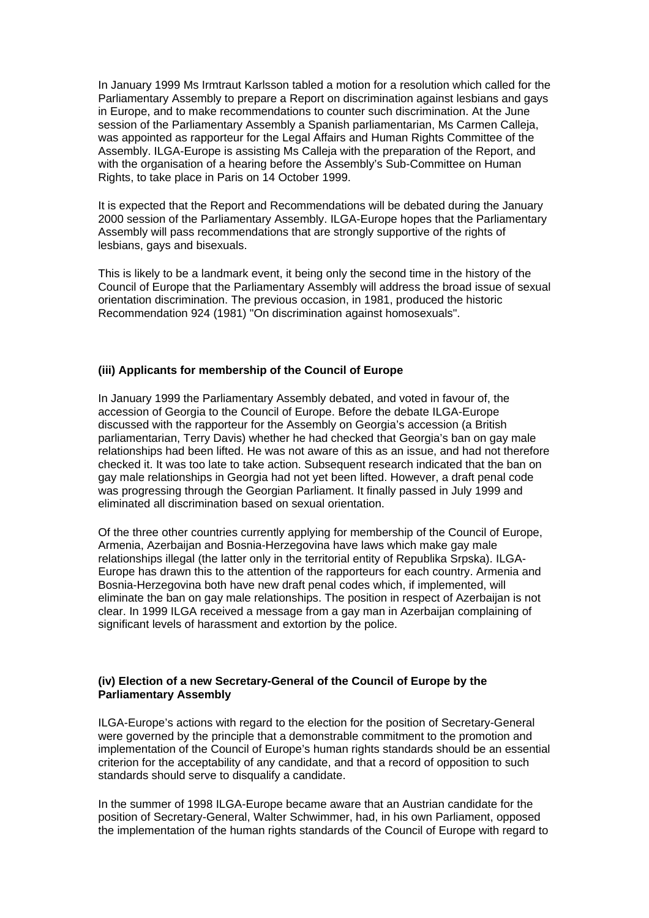In January 1999 Ms Irmtraut Karlsson tabled a motion for a resolution which called for the Parliamentary Assembly to prepare a Report on discrimination against lesbians and gays in Europe, and to make recommendations to counter such discrimination. At the June session of the Parliamentary Assembly a Spanish parliamentarian, Ms Carmen Calleja, was appointed as rapporteur for the Legal Affairs and Human Rights Committee of the Assembly. ILGA-Europe is assisting Ms Calleja with the preparation of the Report, and with the organisation of a hearing before the Assembly's Sub-Committee on Human Rights, to take place in Paris on 14 October 1999.

It is expected that the Report and Recommendations will be debated during the January 2000 session of the Parliamentary Assembly. ILGA-Europe hopes that the Parliamentary Assembly will pass recommendations that are strongly supportive of the rights of lesbians, gays and bisexuals.

This is likely to be a landmark event, it being only the second time in the history of the Council of Europe that the Parliamentary Assembly will address the broad issue of sexual orientation discrimination. The previous occasion, in 1981, produced the historic Recommendation 924 (1981) "On discrimination against homosexuals".

## **(iii) Applicants for membership of the Council of Europe**

In January 1999 the Parliamentary Assembly debated, and voted in favour of, the accession of Georgia to the Council of Europe. Before the debate ILGA-Europe discussed with the rapporteur for the Assembly on Georgia's accession (a British parliamentarian, Terry Davis) whether he had checked that Georgia's ban on gay male relationships had been lifted. He was not aware of this as an issue, and had not therefore checked it. It was too late to take action. Subsequent research indicated that the ban on gay male relationships in Georgia had not yet been lifted. However, a draft penal code was progressing through the Georgian Parliament. It finally passed in July 1999 and eliminated all discrimination based on sexual orientation.

Of the three other countries currently applying for membership of the Council of Europe, Armenia, Azerbaijan and Bosnia-Herzegovina have laws which make gay male relationships illegal (the latter only in the territorial entity of Republika Srpska). ILGA-Europe has drawn this to the attention of the rapporteurs for each country. Armenia and Bosnia-Herzegovina both have new draft penal codes which, if implemented, will eliminate the ban on gay male relationships. The position in respect of Azerbaijan is not clear. In 1999 ILGA received a message from a gay man in Azerbaijan complaining of significant levels of harassment and extortion by the police.

#### **(iv) Election of a new Secretary-General of the Council of Europe by the Parliamentary Assembly**

ILGA-Europe's actions with regard to the election for the position of Secretary-General were governed by the principle that a demonstrable commitment to the promotion and implementation of the Council of Europe's human rights standards should be an essential criterion for the acceptability of any candidate, and that a record of opposition to such standards should serve to disqualify a candidate.

In the summer of 1998 ILGA-Europe became aware that an Austrian candidate for the position of Secretary-General, Walter Schwimmer, had, in his own Parliament, opposed the implementation of the human rights standards of the Council of Europe with regard to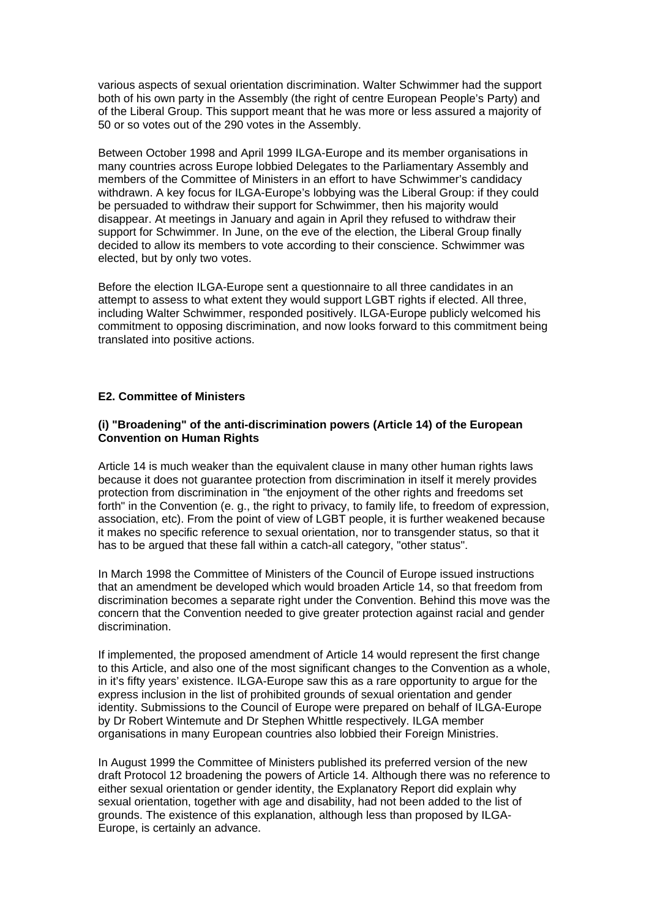various aspects of sexual orientation discrimination. Walter Schwimmer had the support both of his own party in the Assembly (the right of centre European People's Party) and of the Liberal Group. This support meant that he was more or less assured a majority of 50 or so votes out of the 290 votes in the Assembly.

Between October 1998 and April 1999 ILGA-Europe and its member organisations in many countries across Europe lobbied Delegates to the Parliamentary Assembly and members of the Committee of Ministers in an effort to have Schwimmer's candidacy withdrawn. A key focus for ILGA-Europe's lobbying was the Liberal Group: if they could be persuaded to withdraw their support for Schwimmer, then his majority would disappear. At meetings in January and again in April they refused to withdraw their support for Schwimmer. In June, on the eve of the election, the Liberal Group finally decided to allow its members to vote according to their conscience. Schwimmer was elected, but by only two votes.

Before the election ILGA-Europe sent a questionnaire to all three candidates in an attempt to assess to what extent they would support LGBT rights if elected. All three, including Walter Schwimmer, responded positively. ILGA-Europe publicly welcomed his commitment to opposing discrimination, and now looks forward to this commitment being translated into positive actions.

## **E2. Committee of Ministers**

#### **(i) "Broadening" of the anti-discrimination powers (Article 14) of the European Convention on Human Rights**

Article 14 is much weaker than the equivalent clause in many other human rights laws because it does not guarantee protection from discrimination in itself it merely provides protection from discrimination in "the enjoyment of the other rights and freedoms set forth" in the Convention (e. g., the right to privacy, to family life, to freedom of expression, association, etc). From the point of view of LGBT people, it is further weakened because it makes no specific reference to sexual orientation, nor to transgender status, so that it has to be argued that these fall within a catch-all category, "other status".

In March 1998 the Committee of Ministers of the Council of Europe issued instructions that an amendment be developed which would broaden Article 14, so that freedom from discrimination becomes a separate right under the Convention. Behind this move was the concern that the Convention needed to give greater protection against racial and gender discrimination.

If implemented, the proposed amendment of Article 14 would represent the first change to this Article, and also one of the most significant changes to the Convention as a whole, in it's fifty years' existence. ILGA-Europe saw this as a rare opportunity to argue for the express inclusion in the list of prohibited grounds of sexual orientation and gender identity. Submissions to the Council of Europe were prepared on behalf of ILGA-Europe by Dr Robert Wintemute and Dr Stephen Whittle respectively. ILGA member organisations in many European countries also lobbied their Foreign Ministries.

In August 1999 the Committee of Ministers published its preferred version of the new draft Protocol 12 broadening the powers of Article 14. Although there was no reference to either sexual orientation or gender identity, the Explanatory Report did explain why sexual orientation, together with age and disability, had not been added to the list of grounds. The existence of this explanation, although less than proposed by ILGA-Europe, is certainly an advance.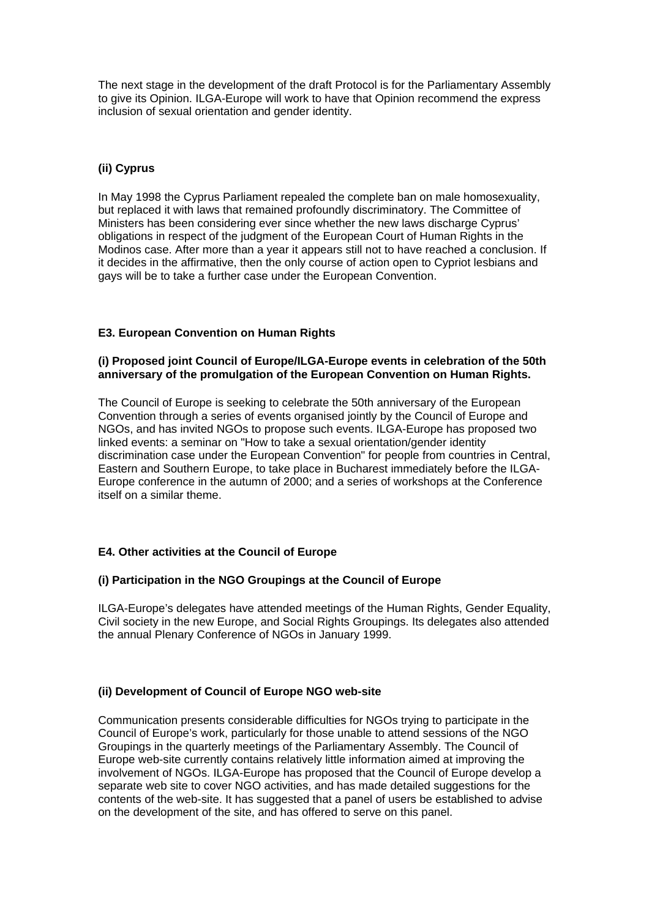The next stage in the development of the draft Protocol is for the Parliamentary Assembly to give its Opinion. ILGA-Europe will work to have that Opinion recommend the express inclusion of sexual orientation and gender identity.

## **(ii) Cyprus**

In May 1998 the Cyprus Parliament repealed the complete ban on male homosexuality, but replaced it with laws that remained profoundly discriminatory. The Committee of Ministers has been considering ever since whether the new laws discharge Cyprus' obligations in respect of the judgment of the European Court of Human Rights in the Modinos case. After more than a year it appears still not to have reached a conclusion. If it decides in the affirmative, then the only course of action open to Cypriot lesbians and gays will be to take a further case under the European Convention.

## **E3. European Convention on Human Rights**

## **(i) Proposed joint Council of Europe/ILGA-Europe events in celebration of the 50th anniversary of the promulgation of the European Convention on Human Rights.**

The Council of Europe is seeking to celebrate the 50th anniversary of the European Convention through a series of events organised jointly by the Council of Europe and NGOs, and has invited NGOs to propose such events. ILGA-Europe has proposed two linked events: a seminar on "How to take a sexual orientation/gender identity discrimination case under the European Convention" for people from countries in Central, Eastern and Southern Europe, to take place in Bucharest immediately before the ILGA-Europe conference in the autumn of 2000; and a series of workshops at the Conference itself on a similar theme.

## **E4. Other activities at the Council of Europe**

## **(i) Participation in the NGO Groupings at the Council of Europe**

ILGA-Europe's delegates have attended meetings of the Human Rights, Gender Equality, Civil society in the new Europe, and Social Rights Groupings. Its delegates also attended the annual Plenary Conference of NGOs in January 1999.

## **(ii) Development of Council of Europe NGO web-site**

Communication presents considerable difficulties for NGOs trying to participate in the Council of Europe's work, particularly for those unable to attend sessions of the NGO Groupings in the quarterly meetings of the Parliamentary Assembly. The Council of Europe web-site currently contains relatively little information aimed at improving the involvement of NGOs. ILGA-Europe has proposed that the Council of Europe develop a separate web site to cover NGO activities, and has made detailed suggestions for the contents of the web-site. It has suggested that a panel of users be established to advise on the development of the site, and has offered to serve on this panel.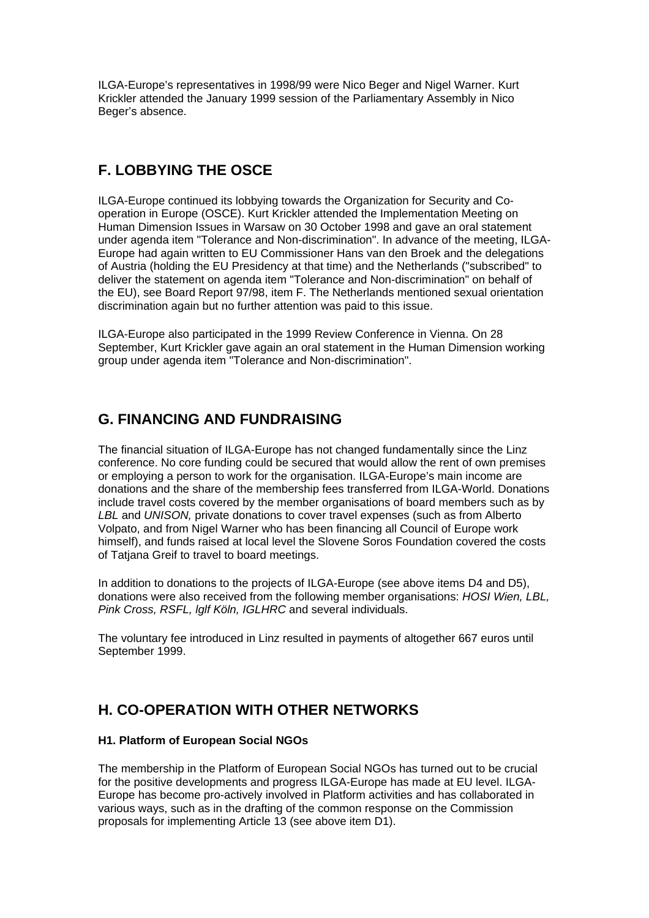ILGA-Europe's representatives in 1998/99 were Nico Beger and Nigel Warner. Kurt Krickler attended the January 1999 session of the Parliamentary Assembly in Nico Beger's absence.

## **F. LOBBYING THE OSCE**

ILGA-Europe continued its lobbying towards the Organization for Security and Cooperation in Europe (OSCE). Kurt Krickler attended the Implementation Meeting on Human Dimension Issues in Warsaw on 30 October 1998 and gave an oral statement under agenda item "Tolerance and Non-discrimination". In advance of the meeting, ILGA-Europe had again written to EU Commissioner Hans van den Broek and the delegations of Austria (holding the EU Presidency at that time) and the Netherlands ("subscribed" to deliver the statement on agenda item "Tolerance and Non-discrimination" on behalf of the EU), see Board Report 97/98, item F. The Netherlands mentioned sexual orientation discrimination again but no further attention was paid to this issue.

ILGA-Europe also participated in the 1999 Review Conference in Vienna. On 28 September, Kurt Krickler gave again an oral statement in the Human Dimension working group under agenda item "Tolerance and Non-discrimination".

# **G. FINANCING AND FUNDRAISING**

The financial situation of ILGA-Europe has not changed fundamentally since the Linz conference. No core funding could be secured that would allow the rent of own premises or employing a person to work for the organisation. ILGA-Europe's main income are donations and the share of the membership fees transferred from ILGA-World. Donations include travel costs covered by the member organisations of board members such as by *LBL* and *UNISON,* private donations to cover travel expenses (such as from Alberto Volpato, and from Nigel Warner who has been financing all Council of Europe work himself), and funds raised at local level the Slovene Soros Foundation covered the costs of Tatjana Greif to travel to board meetings.

In addition to donations to the projects of ILGA-Europe (see above items D4 and D5), donations were also received from the following member organisations: *HOSI Wien, LBL, Pink Cross, RSFL, lglf Köln, IGLHRC* and several individuals.

The voluntary fee introduced in Linz resulted in payments of altogether 667 euros until September 1999.

# **H. CO-OPERATION WITH OTHER NETWORKS**

## **H1. Platform of European Social NGOs**

The membership in the Platform of European Social NGOs has turned out to be crucial for the positive developments and progress ILGA-Europe has made at EU level. ILGA-Europe has become pro-actively involved in Platform activities and has collaborated in various ways, such as in the drafting of the common response on the Commission proposals for implementing Article 13 (see above item D1).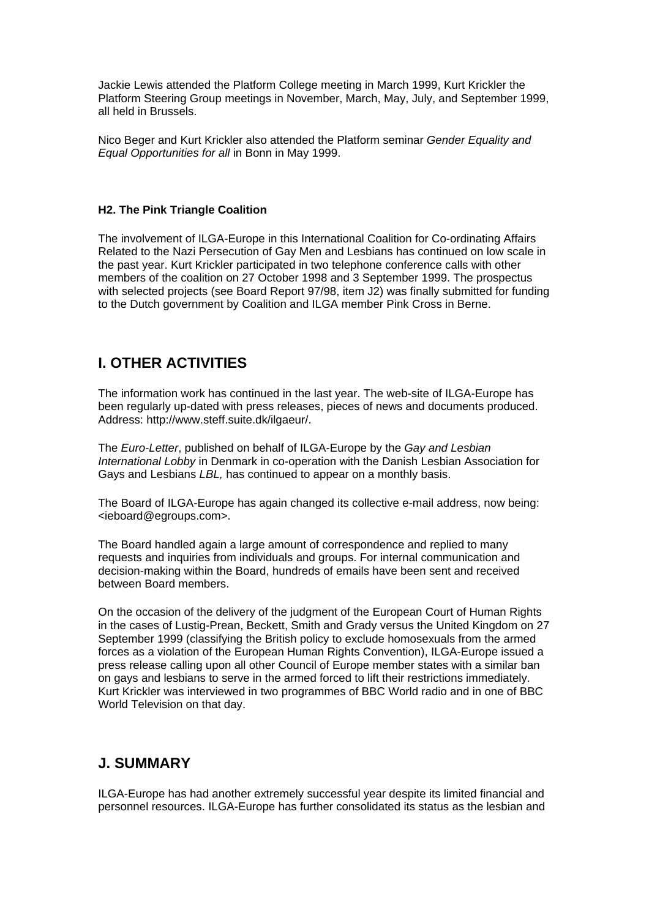Jackie Lewis attended the Platform College meeting in March 1999, Kurt Krickler the Platform Steering Group meetings in November, March, May, July, and September 1999, all held in Brussels.

Nico Beger and Kurt Krickler also attended the Platform seminar *Gender Equality and Equal Opportunities for all* in Bonn in May 1999.

#### **H2. The Pink Triangle Coalition**

The involvement of ILGA-Europe in this International Coalition for Co-ordinating Affairs Related to the Nazi Persecution of Gay Men and Lesbians has continued on low scale in the past year. Kurt Krickler participated in two telephone conference calls with other members of the coalition on 27 October 1998 and 3 September 1999. The prospectus with selected projects (see Board Report 97/98, item J2) was finally submitted for funding to the Dutch government by Coalition and ILGA member Pink Cross in Berne.

## **I. OTHER ACTIVITIES**

The information work has continued in the last year. The web-site of ILGA-Europe has been regularly up-dated with press releases, pieces of news and documents produced. Address: http://www.steff.suite.dk/ilgaeur/.

The *Euro-Letter*, published on behalf of ILGA-Europe by the *Gay and Lesbian International Lobby* in Denmark in co-operation with the Danish Lesbian Association for Gays and Lesbians *LBL,* has continued to appear on a monthly basis.

The Board of ILGA-Europe has again changed its collective e-mail address, now being: <ieboard@egroups.com>.

The Board handled again a large amount of correspondence and replied to many requests and inquiries from individuals and groups. For internal communication and decision-making within the Board, hundreds of emails have been sent and received between Board members.

On the occasion of the delivery of the judgment of the European Court of Human Rights in the cases of Lustig-Prean, Beckett, Smith and Grady versus the United Kingdom on 27 September 1999 (classifying the British policy to exclude homosexuals from the armed forces as a violation of the European Human Rights Convention), ILGA-Europe issued a press release calling upon all other Council of Europe member states with a similar ban on gays and lesbians to serve in the armed forced to lift their restrictions immediately. Kurt Krickler was interviewed in two programmes of BBC World radio and in one of BBC World Television on that day.

## **J. SUMMARY**

ILGA-Europe has had another extremely successful year despite its limited financial and personnel resources. ILGA-Europe has further consolidated its status as the lesbian and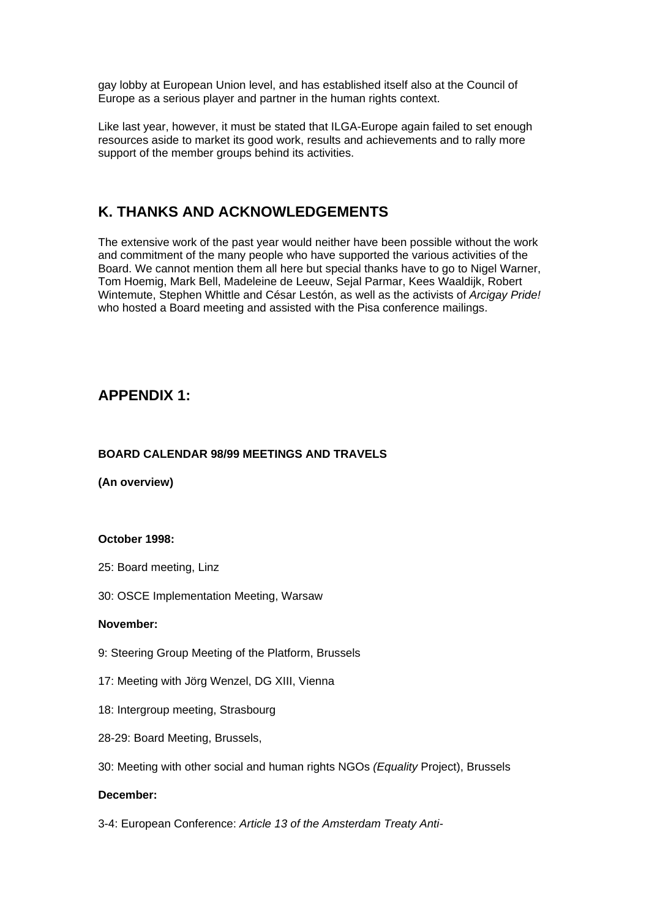gay lobby at European Union level, and has established itself also at the Council of Europe as a serious player and partner in the human rights context.

Like last year, however, it must be stated that ILGA-Europe again failed to set enough resources aside to market its good work, results and achievements and to rally more support of the member groups behind its activities.

## **K. THANKS AND ACKNOWLEDGEMENTS**

The extensive work of the past year would neither have been possible without the work and commitment of the many people who have supported the various activities of the Board. We cannot mention them all here but special thanks have to go to Nigel Warner, Tom Hoemig, Mark Bell, Madeleine de Leeuw, Sejal Parmar, Kees Waaldijk, Robert Wintemute, Stephen Whittle and César Lestón, as well as the activists of *Arcigay Pride!* who hosted a Board meeting and assisted with the Pisa conference mailings.

## **APPENDIX 1:**

## **BOARD CALENDAR 98/99 MEETINGS AND TRAVELS**

**(An overview)**

## **October 1998:**

- 25: Board meeting, Linz
- 30: OSCE Implementation Meeting, Warsaw

## **November:**

- 9: Steering Group Meeting of the Platform, Brussels
- 17: Meeting with Jörg Wenzel, DG XIII, Vienna
- 18: Intergroup meeting, Strasbourg
- 28-29: Board Meeting, Brussels,
- 30: Meeting with other social and human rights NGOs *(Equality* Project), Brussels

## **December:**

3-4: European Conference: *Article 13 of the Amsterdam Treaty Anti-*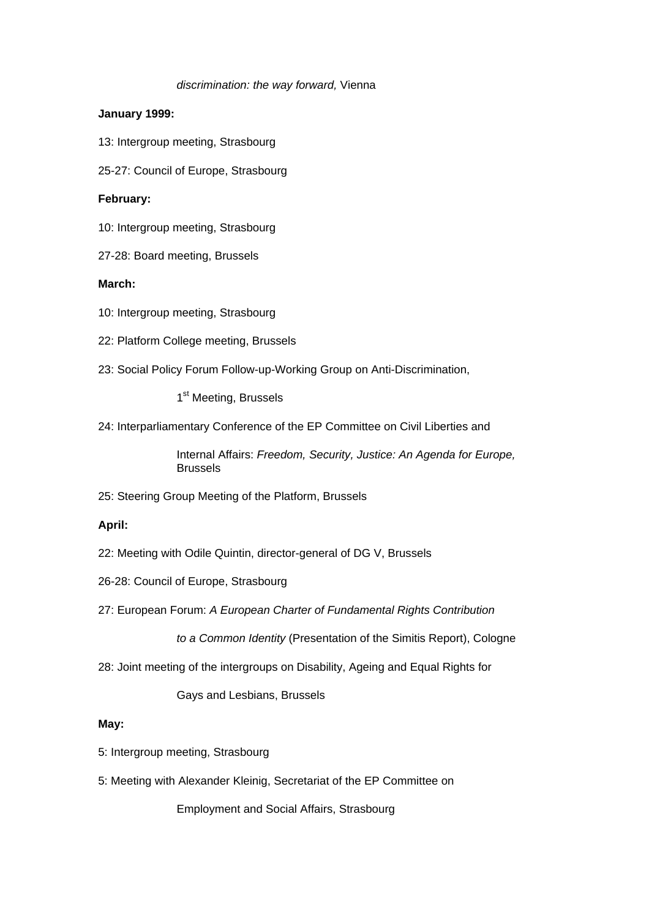#### *discrimination: the way forward,* Vienna

## **January 1999:**

- 13: Intergroup meeting, Strasbourg
- 25-27: Council of Europe, Strasbourg

#### **February:**

- 10: Intergroup meeting, Strasbourg
- 27-28: Board meeting, Brussels

## **March:**

- 10: Intergroup meeting, Strasbourg
- 22: Platform College meeting, Brussels
- 23: Social Policy Forum Follow-up-Working Group on Anti-Discrimination,

1<sup>st</sup> Meeting, Brussels

24: Interparliamentary Conference of the EP Committee on Civil Liberties and

Internal Affairs: *Freedom, Security, Justice: An Agenda for Europe,*  Brussels

25: Steering Group Meeting of the Platform, Brussels

## **April:**

- 22: Meeting with Odile Quintin, director-general of DG V, Brussels
- 26-28: Council of Europe, Strasbourg
- 27: European Forum: *A European Charter of Fundamental Rights Contribution*

*to a Common Identity* (Presentation of the Simitis Report), Cologne

28: Joint meeting of the intergroups on Disability, Ageing and Equal Rights for

Gays and Lesbians, Brussels

#### **May:**

- 5: Intergroup meeting, Strasbourg
- 5: Meeting with Alexander Kleinig, Secretariat of the EP Committee on

Employment and Social Affairs, Strasbourg